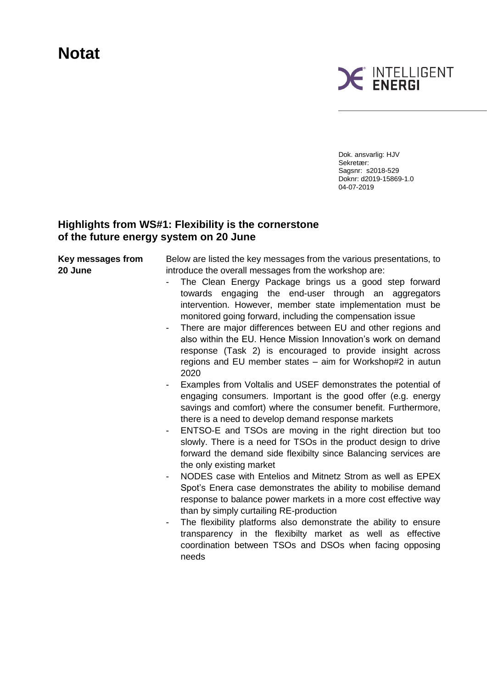# **Notat**

**Key messages from** 



Dok. ansvarlig: HJV Sekretær: Sagsnr: s2018-529 Doknr: d2019-15869-1.0 04-07-2019

### **Highlights from WS#1: Flexibility is the cornerstone of the future energy system on 20 June**

| 20 June | introduce the overall messages from the workshop are:                                  |
|---------|----------------------------------------------------------------------------------------|
|         | The Clean Energy Package brings us a good step forward                                 |
|         | towards engaging the end-user through an aggregators                                   |
|         | intervention. However, member state implementation must be                             |
|         | monitored going forward, including the compensation issue                              |
|         | There are major differences between EU and other regions and<br>$\sim$                 |
|         | also within the EU. Hence Mission Innovation's work on demand                          |
|         | response (Task 2) is encouraged to provide insight across                              |
|         | regions and EU member states – aim for Workshop#2 in autun<br>2020                     |
|         | Examples from Voltalis and USEF demonstrates the potential of<br>$\blacksquare$        |
|         | engaging consumers. Important is the good offer (e.g. energy                           |
|         | savings and comfort) where the consumer benefit. Furthermore,                          |
|         | there is a need to develop demand response markets                                     |
|         | ENTSO-E and TSOs are moving in the right direction but too<br>$\sim$                   |
|         | slowly. There is a need for TSOs in the product design to drive                        |
|         | forward the demand side flexibilty since Balancing services are                        |
|         | the only existing market                                                               |
|         | NODES case with Entelios and Mitnetz Strom as well as EPEX<br>$\overline{\phantom{a}}$ |
|         | Spot's Enera case demonstrates the ability to mobilise demand                          |
|         | response to balance power markets in a more cost effective way                         |
|         | than by simply curtailing RE-production                                                |
|         | The flexibility platforms also demonstrate the ability to ensure<br>$\blacksquare$     |
|         | transparency in the flexibilty market as well as effective                             |
|         | coordination between TSOs and DSOs when facing opposing                                |
|         | needs                                                                                  |

Below are listed the key messages from the various presentations, to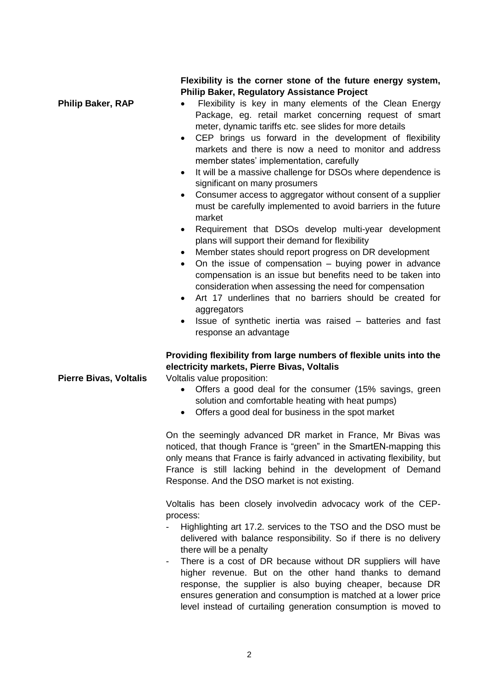|                               | Flexibility is the corner stone of the future energy system,                                                                                                                                                                                                                                                                                                                                                                                                      |
|-------------------------------|-------------------------------------------------------------------------------------------------------------------------------------------------------------------------------------------------------------------------------------------------------------------------------------------------------------------------------------------------------------------------------------------------------------------------------------------------------------------|
|                               | <b>Philip Baker, Regulatory Assistance Project</b>                                                                                                                                                                                                                                                                                                                                                                                                                |
| <b>Philip Baker, RAP</b>      | Flexibility is key in many elements of the Clean Energy<br>Package, eg. retail market concerning request of smart<br>meter, dynamic tariffs etc. see slides for more details<br>CEP brings us forward in the development of flexibility<br>$\bullet$<br>markets and there is now a need to monitor and address<br>member states' implementation, carefully                                                                                                        |
|                               | It will be a massive challenge for DSOs where dependence is<br>$\bullet$<br>significant on many prosumers                                                                                                                                                                                                                                                                                                                                                         |
|                               | Consumer access to aggregator without consent of a supplier<br>$\bullet$<br>must be carefully implemented to avoid barriers in the future<br>market                                                                                                                                                                                                                                                                                                               |
|                               | Requirement that DSOs develop multi-year development<br>$\bullet$<br>plans will support their demand for flexibility                                                                                                                                                                                                                                                                                                                                              |
|                               | Member states should report progress on DR development<br>$\bullet$<br>On the issue of compensation $-$ buying power in advance<br>$\bullet$<br>compensation is an issue but benefits need to be taken into<br>consideration when assessing the need for compensation<br>Art 17 underlines that no barriers should be created for<br>$\bullet$<br>aggregators<br>Issue of synthetic inertia was raised – batteries and fast<br>$\bullet$<br>response an advantage |
| <b>Pierre Bivas, Voltalis</b> | Providing flexibility from large numbers of flexible units into the<br>electricity markets, Pierre Bivas, Voltalis<br>Voltalis value proposition:                                                                                                                                                                                                                                                                                                                 |
|                               | Offers a good deal for the consumer (15% savings, green<br>$\bullet$<br>solution and comfortable heating with heat pumps)<br>Offers a good deal for business in the spot market<br>$\bullet$                                                                                                                                                                                                                                                                      |
|                               |                                                                                                                                                                                                                                                                                                                                                                                                                                                                   |
|                               | On the seemingly advanced DR market in France, Mr Bivas was<br>noticed, that though France is "green" in the SmartEN-mapping this<br>only means that France is fairly advanced in activating flexibility, but<br>France is still lacking behind in the development of Demand<br>Response. And the DSO market is not existing.                                                                                                                                     |
|                               | Voltalis has been closely involvedin advocacy work of the CEP-<br>process:                                                                                                                                                                                                                                                                                                                                                                                        |
|                               | Highlighting art 17.2. services to the TSO and the DSO must be<br>delivered with balance responsibility. So if there is no delivery<br>there will be a penalty<br>There is a cost of DR because without DR suppliers will have<br>-<br>higher revenue. But on the other hand thanks to demand<br>response, the supplier is also buying cheaper, because DR<br>ensures generation and consumption is matched at a lower price                                      |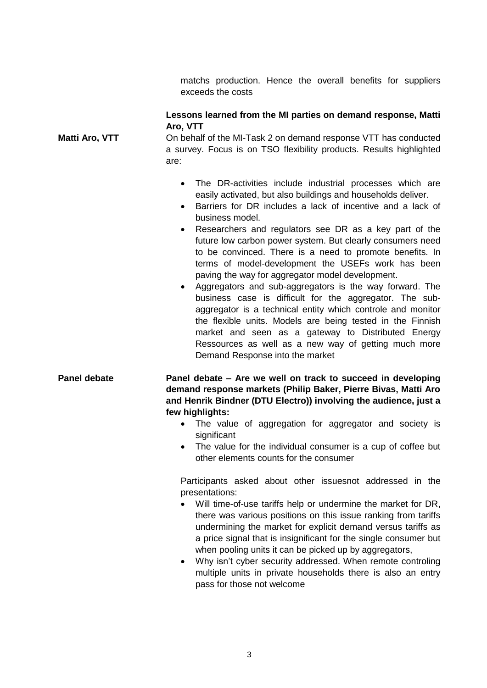matchs production. Hence the overall benefits for suppliers exceeds the costs

### **Lessons learned from the MI parties on demand response, Matti Aro, VTT**

On behalf of the MI-Task 2 on demand response VTT has conducted a survey. Focus is on TSO flexibility products. Results highlighted are:

**Matti Aro, VTT**

- The DR-activities include industrial processes which are easily activated, but also buildings and households deliver.
- Barriers for DR includes a lack of incentive and a lack of business model.
- Researchers and regulators see DR as a key part of the future low carbon power system. But clearly consumers need to be convinced. There is a need to promote benefits. In terms of model-development the USEFs work has been paving the way for aggregator model development.
- Aggregators and sub-aggregators is the way forward. The business case is difficult for the aggregator. The subaggregator is a technical entity which controle and monitor the flexible units. Models are being tested in the Finnish market and seen as a gateway to Distributed Energy Ressources as well as a new way of getting much more Demand Response into the market
- **Panel debate – Are we well on track to succeed in developing demand response markets (Philip Baker, Pierre Bivas, Matti Aro and Henrik Bindner (DTU Electro)) involving the audience, just a few highlights: Panel debate**
	- The value of aggregation for aggregator and society is significant
	- The value for the individual consumer is a cup of coffee but other elements counts for the consumer

Participants asked about other issuesnot addressed in the presentations:

- Will time-of-use tariffs help or undermine the market for DR, there was various positions on this issue ranking from tariffs undermining the market for explicit demand versus tariffs as a price signal that is insignificant for the single consumer but when pooling units it can be picked up by aggregators,
- Why isn't cyber security addressed. When remote controling multiple units in private households there is also an entry pass for those not welcome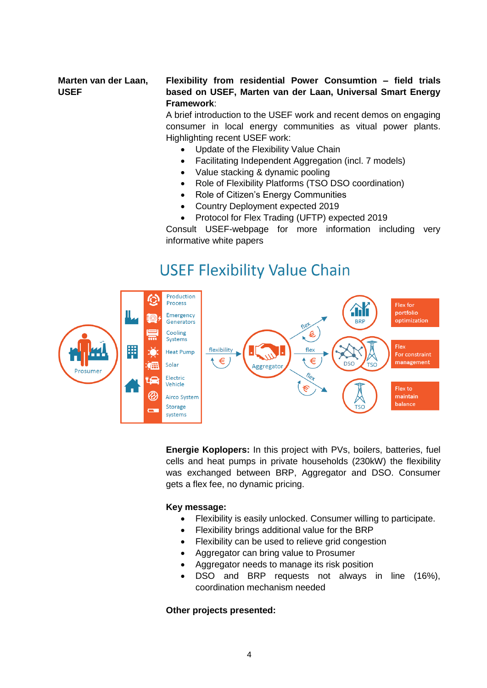**Marten van der Laan, USEF**

### **Flexibility from residential Power Consumtion – field trials based on USEF, Marten van der Laan, Universal Smart Energy Framework**:

A brief introduction to the USEF work and recent demos on engaging consumer in local energy communities as vitual power plants. Highlighting recent USEF work:

- Update of the Flexibility Value Chain
- Facilitating Independent Aggregation (incl. 7 models)
- Value stacking & dynamic pooling
- Role of Flexibility Platforms (TSO DSO coordination)
- Role of Citizen's Energy Communities
- Country Deployment expected 2019
- Protocol for Flex Trading (UFTP) expected 2019

Consult USEF-webpage for more information including very informative white papers

## **USEF Flexibility Value Chain**



**Energie Koplopers:** In this project with PVs, boilers, batteries, fuel cells and heat pumps in private households (230kW) the flexibility was exchanged between BRP, Aggregator and DSO. Consumer gets a flex fee, no dynamic pricing.

#### **Key message:**

- Flexibility is easily unlocked. Consumer willing to participate.
- Flexibility brings additional value for the BRP
- Flexibility can be used to relieve grid congestion
- Aggregator can bring value to Prosumer
- Aggregator needs to manage its risk position
- DSO and BRP requests not always in line (16%), coordination mechanism needed

### **Other projects presented:**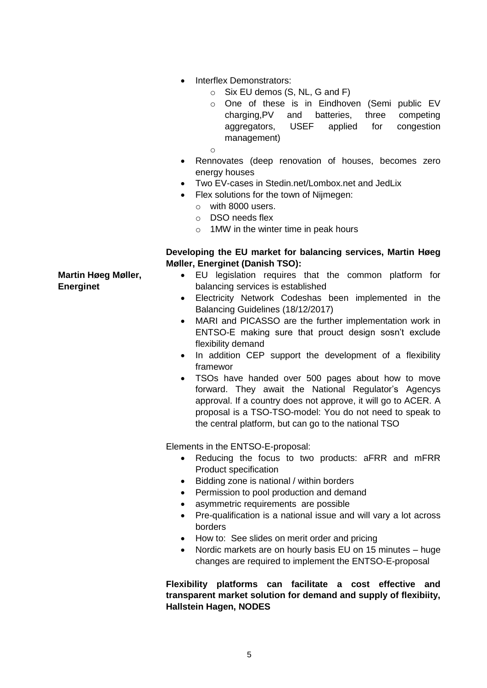- Interflex Demonstrators:
	- $\circ$  Six EU demos (S, NL, G and F)
	- o One of these is in Eindhoven (Semi public EV charging,PV and batteries, three competing aggregators, USEF applied for congestion management)

o

- Rennovates (deep renovation of houses, becomes zero energy houses
- Two EV-cases in Stedin.net/Lombox.net and JedLix
- Flex solutions for the town of Nijmegen:
	- o with 8000 users.
	- o DSO needs flex
	- $\circ$  1MW in the winter time in peak hours

### **Developing the EU market for balancing services, Martin Høeg Møller, Energinet (Danish TSO):**

**Martin Høeg Møller, Energinet**

- EU legislation requires that the common platform for balancing services is established
- Electricity Network Codeshas been implemented in the Balancing Guidelines (18/12/2017)
- MARI and PICASSO are the further implementation work in ENTSO-E making sure that prouct design sosn't exclude flexibility demand
- In addition CEP support the development of a flexibility framewor
- TSOs have handed over 500 pages about how to move forward. They await the National Regulator's Agencys approval. If a country does not approve, it will go to ACER. A proposal is a TSO-TSO-model: You do not need to speak to the central platform, but can go to the national TSO

Elements in the ENTSO-E-proposal:

- Reducing the focus to two products: aFRR and mFRR Product specification
- Bidding zone is national / within borders
- Permission to pool production and demand
- asymmetric requirements are possible
- Pre-qualification is a national issue and will vary a lot across borders
- How to: See slides on merit order and pricing
- Nordic markets are on hourly basis EU on 15 minutes huge changes are required to implement the ENTSO-E-proposal

**Flexibility platforms can facilitate a cost effective and transparent market solution for demand and supply of flexibiity, Hallstein Hagen, NODES**